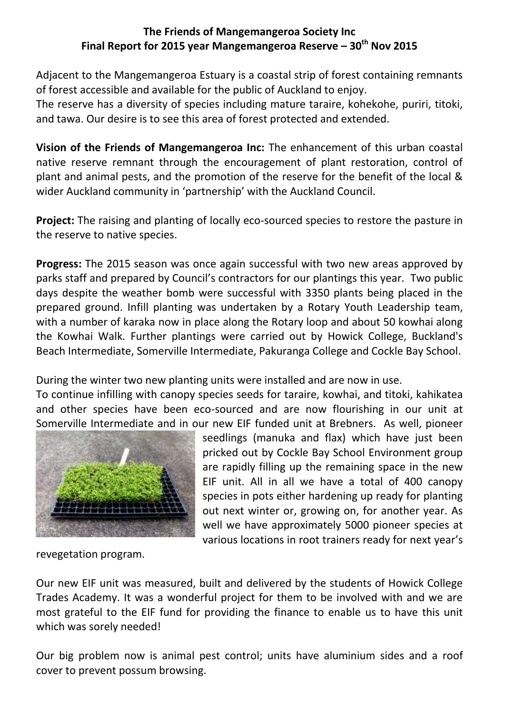## **The Friends of Mangemangeroa Society Inc Final Report for 2015 year Mangemangeroa Reserve – 30th Nov 2015**

Adjacent to the Mangemangeroa Estuary is a coastal strip of forest containing remnants of forest accessible and available for the public of Auckland to enjoy.

The reserve has a diversity of species including mature taraire, kohekohe, puriri, titoki, and tawa. Our desire is to see this area of forest protected and extended.

**Vision of the Friends of Mangemangeroa Inc:** The enhancement of this urban coastal native reserve remnant through the encouragement of plant restoration, control of plant and animal pests, and the promotion of the reserve for the benefit of the local & wider Auckland community in 'partnership' with the Auckland Council.

**Project:** The raising and planting of locally eco-sourced species to restore the pasture in the reserve to native species.

**Progress:** The 2015 season was once again successful with two new areas approved by parks staff and prepared by Council's contractors for our plantings this year. Two public days despite the weather bomb were successful with 3350 plants being placed in the prepared ground. Infill planting was undertaken by a Rotary Youth Leadership team, with a number of karaka now in place along the Rotary loop and about 50 kowhai along the Kowhai Walk. Further plantings were carried out by Howick College, Buckland's Beach Intermediate, Somerville Intermediate, Pakuranga College and Cockle Bay School.

During the winter two new planting units were installed and are now in use.

To continue infilling with canopy species seeds for taraire, kowhai, and titoki, kahikatea and other species have been eco-sourced and are now flourishing in our unit at Somerville Intermediate and in our new EIF funded unit at Brebners. As well, pioneer



seedlings (manuka and flax) which have just been pricked out by Cockle Bay School Environment group are rapidly filling up the remaining space in the new EIF unit. All in all we have a total of 400 canopy species in pots either hardening up ready for planting out next winter or, growing on, for another year. As well we have approximately 5000 pioneer species at various locations in root trainers ready for next year's

revegetation program.

Our new EIF unit was measured, built and delivered by the students of Howick College Trades Academy. It was a wonderful project for them to be involved with and we are most grateful to the EIF fund for providing the finance to enable us to have this unit which was sorely needed!

Our big problem now is animal pest control; units have aluminium sides and a roof cover to prevent possum browsing.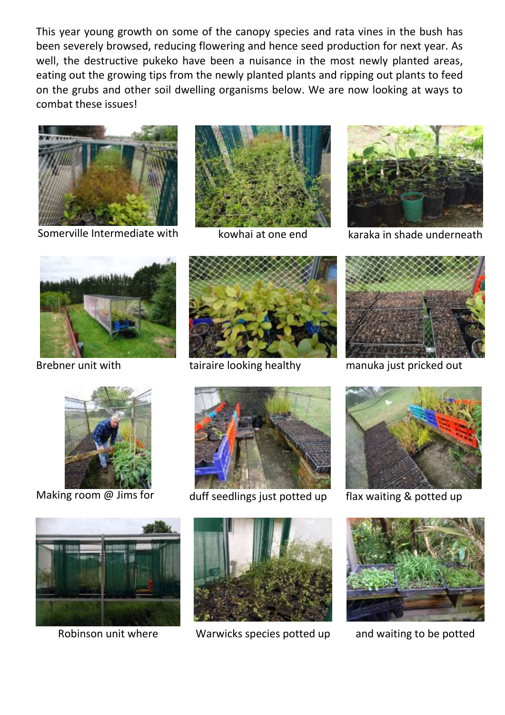This year young growth on some of the canopy species and rata vines in the bush has been severely browsed, reducing flowering and hence seed production for next year. As well, the destructive pukeko have been a nuisance in the most newly planted areas, eating out the growing tips from the newly planted plants and ripping out plants to feed on the grubs and other soil dwelling organisms below. We are now looking at ways to combat these issues!



Somerville Intermediate with kowhai at one end karaka in shade underneath



















Robinson unit where Warwicks species potted up and waiting to be potted